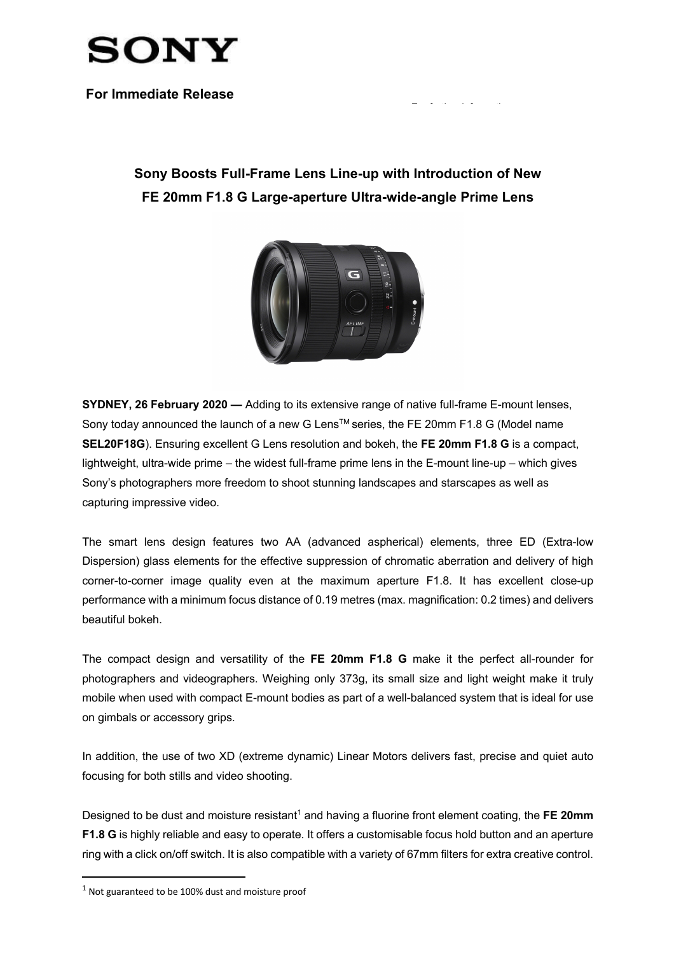

**For Immediate Release**

## **Sony Boosts Full-Frame Lens Line-up with Introduction of New FE 20mm F1.8 G Large-aperture Ultra-wide-angle Prime Lens**

For further information:



**SYDNEY, 26 February 2020 —** Adding to its extensive range of native full-frame E-mount lenses, Sony today announced the launch of a new G Lens™ series, the FE 20mm F1.8 G (Model name **SEL20F18G**). Ensuring excellent G Lens resolution and bokeh, the **FE 20mm F1.8 G** is a compact, lightweight, ultra-wide prime – the widest full-frame prime lens in the E-mount line-up – which gives Sony's photographers more freedom to shoot stunning landscapes and starscapes as well as capturing impressive video.

The smart lens design features two AA (advanced aspherical) elements, three ED (Extra-low Dispersion) glass elements for the effective suppression of chromatic aberration and delivery of high corner-to-corner image quality even at the maximum aperture F1.8. It has excellent close-up performance with a minimum focus distance of 0.19 metres (max. magnification: 0.2 times) and delivers beautiful bokeh.

The compact design and versatility of the **FE 20mm F1.8 G** make it the perfect all-rounder for photographers and videographers. Weighing only 373g, its small size and light weight make it truly mobile when used with compact E-mount bodies as part of a well-balanced system that is ideal for use on gimbals or accessory grips.

In addition, the use of two XD (extreme dynamic) Linear Motors delivers fast, precise and quiet auto focusing for both stills and video shooting.

Designed to be dust and moisture resistant<sup>1</sup> and having a fluorine front element coating, the FE 20mm **F1.8 G** is highly reliable and easy to operate. It offers a customisable focus hold button and an aperture ring with a click on/off switch. It is also compatible with a variety of 67mm filters for extra creative control.

 $1$  Not guaranteed to be 100% dust and moisture proof